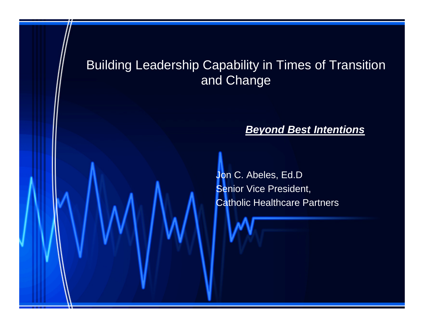# Building Leadership Capability in Times of Transition and Change

### *Beyond Best Intentions*

Jon C. Abeles, Ed.D Senior Vice President, Catholic Healthcare Partners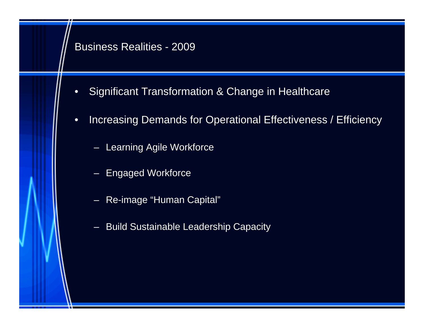### Business Realities - 2009

- Significant Transformation & Change in Healthcare
- Increasing Demands for Operational Effectiveness / Efficiency
	- Learning Agile Workforce
	- Engaged Workforce
	- Re-image "Human Capital"
	- Build Sustainable Leadership Capacity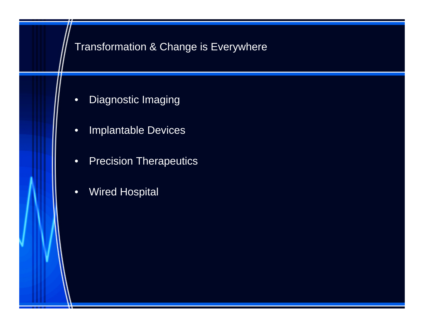## Transformation & Change is Everywhere

- Diagnostic Imaging
- Implantable Devices
- Precision Therapeutics
- Wired Hospital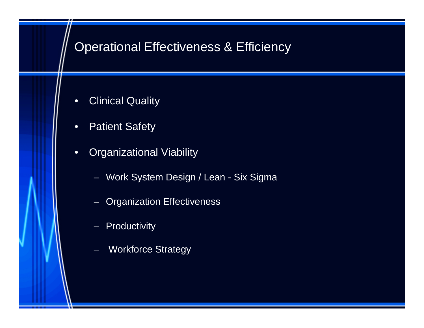# Operational Effectiveness & Efficiency

- Clinical Quality
- Patient Safety
- Organizational Viability
	- Work System Design / Lean Six Sigma
	- Organization Effectiveness
	- Productivity
	- **Workforce Strategy**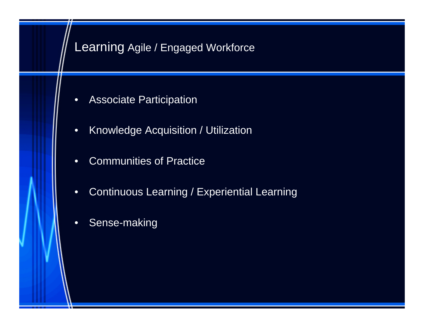# Learning Agile / Engaged Workforce

- Associate Participation
- Knowledge Acquisition / Utilization
- Communities of Practice
- Continuous Learning / Experiential Learning
- Sense-making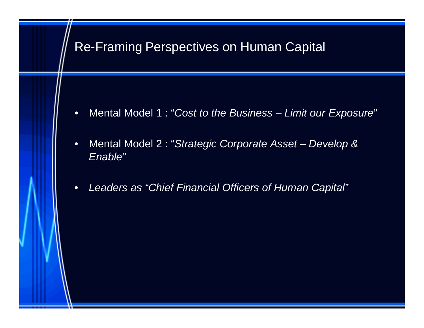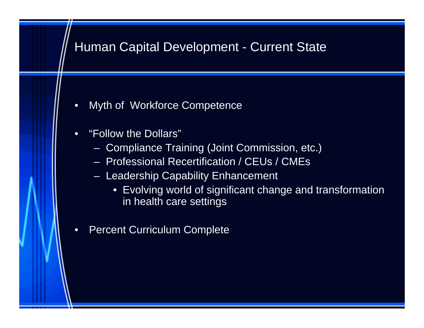# Human Capital Development - Current State

- Myth of Workforce Competence
- "Follow the Dollars"
	- Compliance Training (Joint Commission, etc.)
	- Professional Recertification / CEUs / CMEs
	- Leadership Capability Enhancement
		- Evolving world of significant change and transformation in health care settings
- Percent Curriculum Complete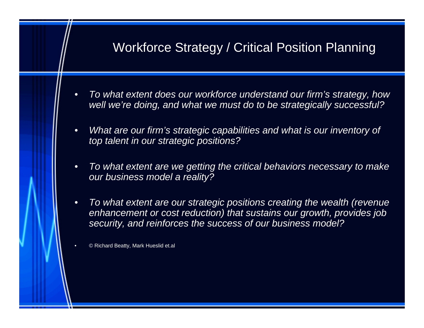# Workforce Strategy / Critical Position Planning

- *To what extent does our workforce understand our firm's strategy, how well we're doing, and what we must do to be strategically successful?*
- *What are our firm's strategic capabilities and what is our inventory of top talent in our strategic positions?*
- *To what extent are we getting the critical behaviors necessary to make our business model a reality?*
- *To what extent are our strategic positions creating the wealth (revenue enhancement or cost reduction) that sustains our growth, provides job security, and reinforces the success of our business model?*

• © Richard Beatty, Mark Hueslid et.al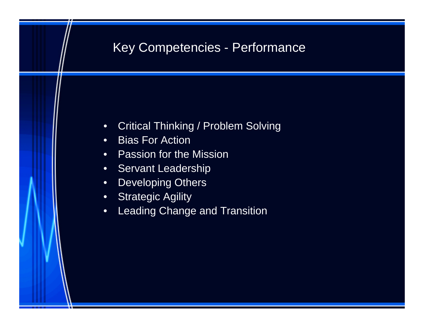# Key Competencies - Performance

- Critical Thinking / Problem Solving
- Bias For Action
- Passion for the Mission
- Servant Leadership
- Developing Others
- Strategic Agility
- Leading Change and Transition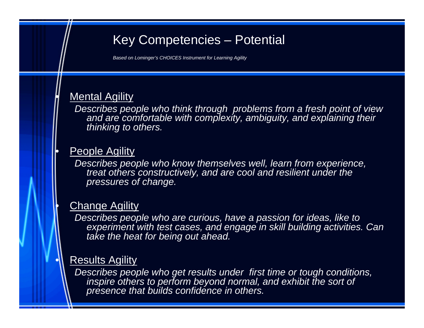# Key Competencies – Potential

*Based on Lominger's CHOICES Instrument for Learning Agility*

### **Mental Agility**

*Describes people who think through problems from a fresh point of view and are comfortable with complexity, ambiguity, and explaining their thinking to others.*

### People Agility

*Describes people who know themselves well, learn from experience, treat others constructively, and are cool and resilient under the pressures of change.*

### **Change Agility**

*Describes people who are curious, have a passion for ideas, like to experiment with test cases, and engage in skill building activities. Can take the heat for being out ahead.*

### **Results Agility**

*Describes people who get results under first time or tough conditions,*  inspire others to perform beyond normal, and exhibit the sort of *presence that builds confidence in others.*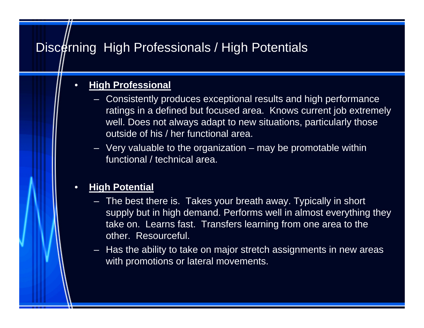# Discerning High Professionals / High Potentials

### • **High Professional**

- Consistently produces exceptional results and high performance ratings in a defined but focused area. Knows current job extremely well. Does not always adapt to new situations, particularly those outside of his / her functional area.
- $-$  Very valuable to the organization  $-$  may be promotable within functional / technical area.

### • **High Potential**

- The best there is. Takes your breath away. Typically in short supply but in high demand. Performs well in almost everything they take on. Learns fast. Transfers learning from one area to the other. Resourceful.
- Has the ability to take on major stretch assignments in new areas with promotions or lateral movements.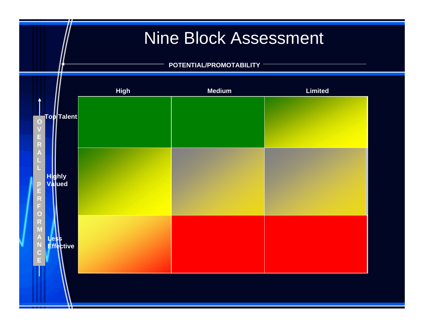# Nine Block Assessment

### **POTENTIAL/PROMOTABILITY**

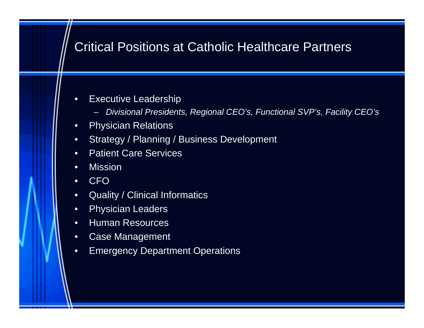# Critical Positions at Catholic Healthcare Partners

- Executive Leadership
	- *Divisional Presidents, Regional CEO's, Functional SVP's, Facility CEO's*
- Physician Relations
- Strategy / Planning / Business Development
- Patient Care Services
- Mission
- CFO
- Quality / Clinical Informatics
- Physician Leaders
- Human Resources
- Case Management
- Emergency Department Operations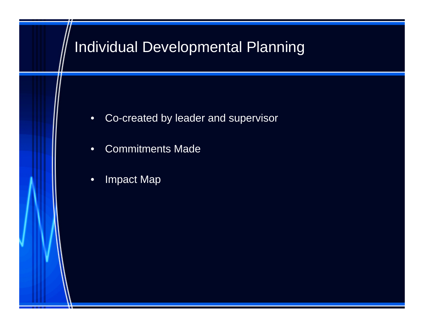# Individual Developmental Planning

- Co-created by leader and supervisor
- Commitments Made
- Impact Map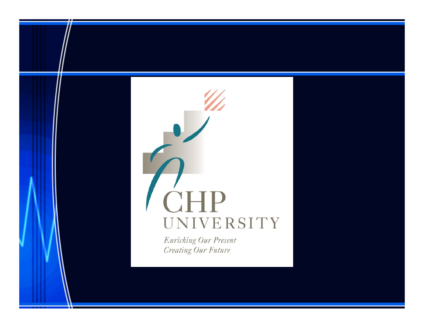# **CHP** UNIVERSITY

**Enriching Our Present Creating Our Future**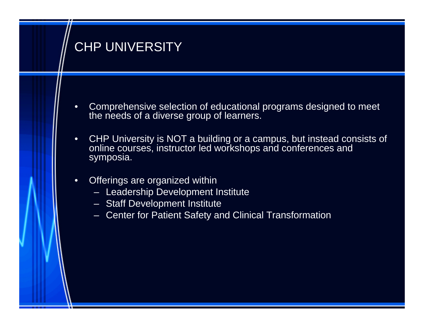# CHP UNIVERSITY

- Comprehensive selection of educational programs designed to meet the needs of a diverse group of learners.
- CHP University is NOT a building or a campus, but instead consists of online courses, instructor led workshops and conferences and symposia.
- Offerings are organized within
	- Leadership Development Institute
	- Staff Development Institute
	- Center for Patient Safety and Clinical Transformation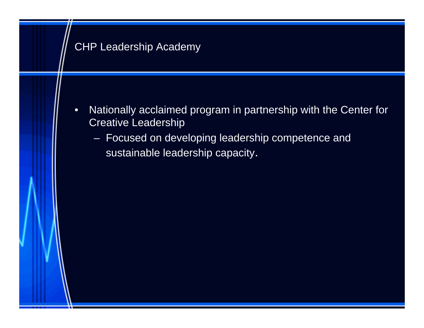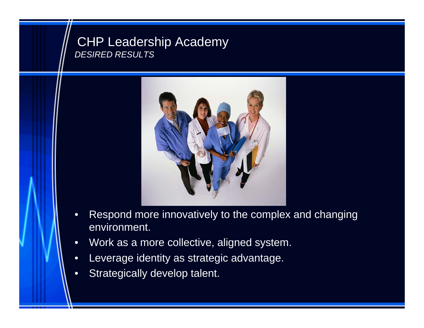### CHP Leadership Academy *DESIRED RESULTS*



- Respond more innovatively to the complex and changing environment.
- Work as a more collective, aligned system.
- Leverage identity as strategic advantage.
- Strategically develop talent.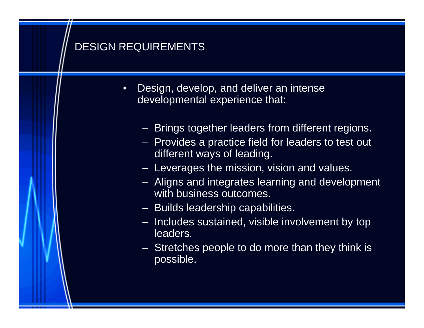## DESIGN REQUIREMENTS

- Design, develop, and deliver an intense developmental experience that:
	- Brings together leaders from different regions.
	- Provides a practice field for leaders to test out different ways of leading.
	- Leverages the mission, vision and values.
	- Aligns and integrates learning and development with business outcomes.
	- Builds leadership capabilities.
	- Includes sustained, visible involvement by top leaders.
	- Stretches people to do more than they think is possible.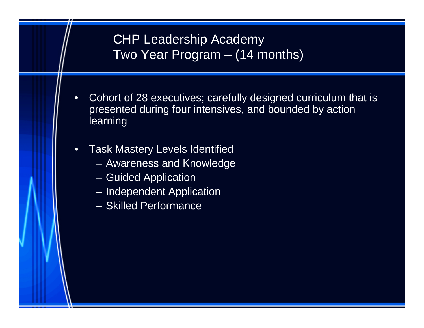# CHP Leadership Academy Two Year Program – (14 months)

- Cohort of 28 executives; carefully designed curriculum that is presented during four intensives, and bounded by action learning
- Task Mastery Levels Identified
	- Awareness and Knowledge
	- Guided Application
	- Independent Application
	- Skilled Performance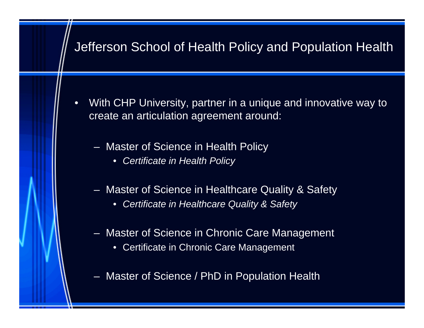# Jefferson School of Health Policy and Population Health

- With CHP University, partner in a unique and innovative way to create an articulation agreement around:
	- Master of Science in Health Policy
		- *Certificate in Health Policy*
	- Master of Science in Healthcare Quality & Safety
		- *Certificate in Healthcare Quality & Safety*
	- Master of Science in Chronic Care Management
		- Certificate in Chronic Care Management
	- Master of Science / PhD in Population Health